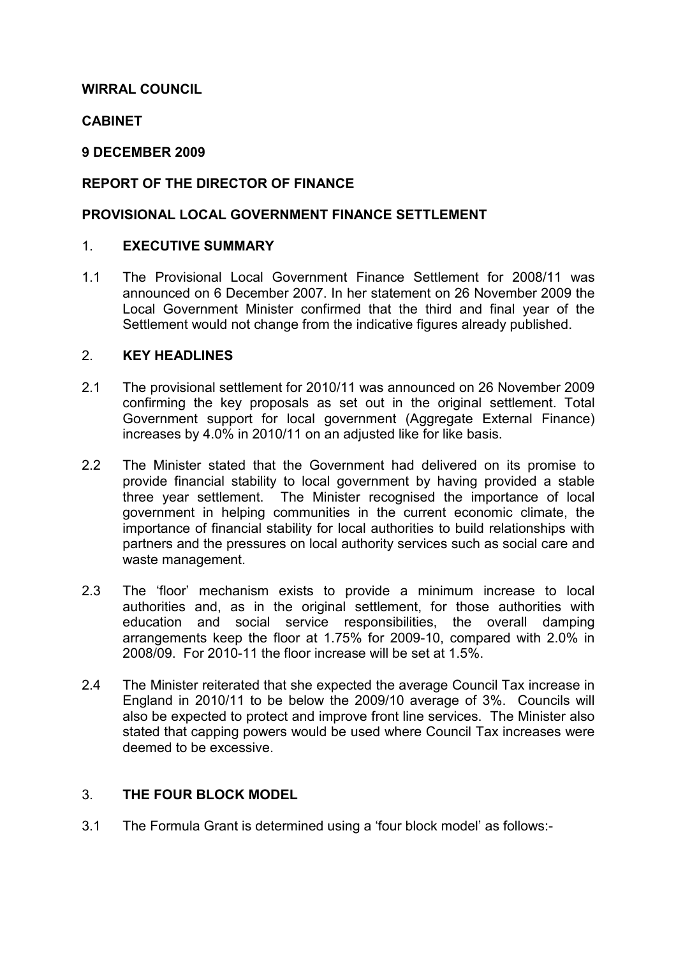## WIRRAL COUNCIL

## **CABINET**

## 9 DECEMBER 2009

## REPORT OF THE DIRECTOR OF FINANCE

## PROVISIONAL LOCAL GOVERNMENT FINANCE SETTLEMENT

## 1. EXECUTIVE SUMMARY

1.1 The Provisional Local Government Finance Settlement for 2008/11 was announced on 6 December 2007. In her statement on 26 November 2009 the Local Government Minister confirmed that the third and final year of the Settlement would not change from the indicative figures already published.

### 2. KEY HEADLINES

- 2.1 The provisional settlement for 2010/11 was announced on 26 November 2009 confirming the key proposals as set out in the original settlement. Total Government support for local government (Aggregate External Finance) increases by 4.0% in 2010/11 on an adjusted like for like basis.
- 2.2 The Minister stated that the Government had delivered on its promise to provide financial stability to local government by having provided a stable three year settlement. The Minister recognised the importance of local government in helping communities in the current economic climate, the importance of financial stability for local authorities to build relationships with partners and the pressures on local authority services such as social care and waste management.
- 2.3 The 'floor' mechanism exists to provide a minimum increase to local authorities and, as in the original settlement, for those authorities with education and social service responsibilities, the overall damping arrangements keep the floor at 1.75% for 2009-10, compared with 2.0% in 2008/09. For 2010-11 the floor increase will be set at 1.5%.
- 2.4 The Minister reiterated that she expected the average Council Tax increase in England in 2010/11 to be below the 2009/10 average of 3%. Councils will also be expected to protect and improve front line services. The Minister also stated that capping powers would be used where Council Tax increases were deemed to be excessive.

## 3. THE FOUR BLOCK MODEL

3.1 The Formula Grant is determined using a 'four block model' as follows:-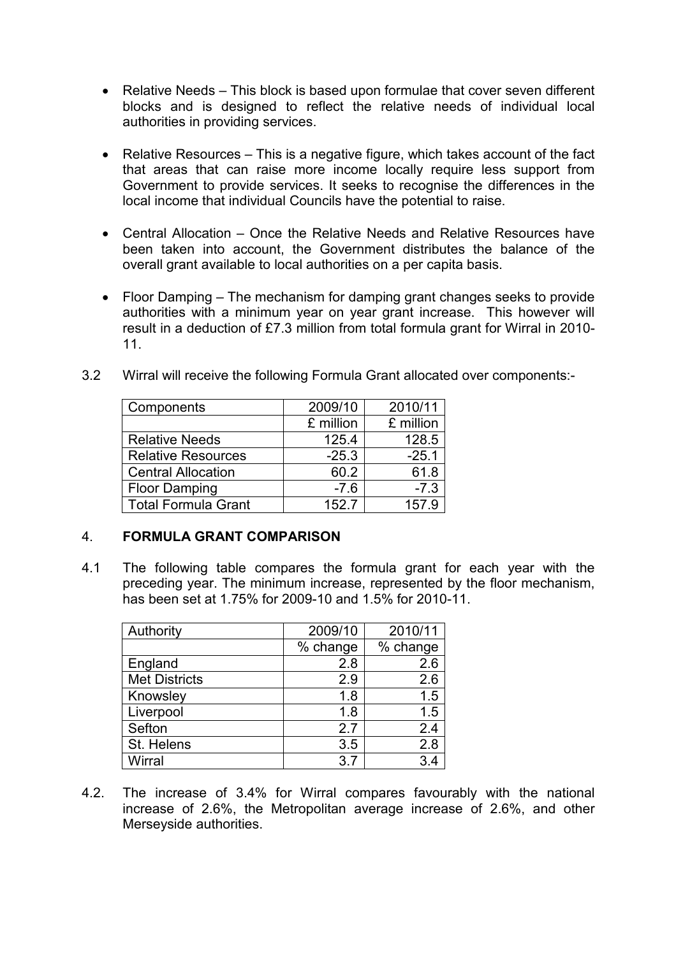- Relative Needs This block is based upon formulae that cover seven different blocks and is designed to reflect the relative needs of individual local authorities in providing services.
- Relative Resources This is a negative figure, which takes account of the fact that areas that can raise more income locally require less support from Government to provide services. It seeks to recognise the differences in the local income that individual Councils have the potential to raise.
- Central Allocation Once the Relative Needs and Relative Resources have been taken into account, the Government distributes the balance of the overall grant available to local authorities on a per capita basis.
- Floor Damping The mechanism for damping grant changes seeks to provide authorities with a minimum year on year grant increase. This however will result in a deduction of £7.3 million from total formula grant for Wirral in 2010- 11.

| 3.2 |  |  |  |  |  | Wirral will receive the following Formula Grant allocated over components:- |
|-----|--|--|--|--|--|-----------------------------------------------------------------------------|
|-----|--|--|--|--|--|-----------------------------------------------------------------------------|

| Components                 | 2009/10   | 2010/11   |
|----------------------------|-----------|-----------|
|                            | £ million | £ million |
| <b>Relative Needs</b>      | 125.4     | 128.5     |
| <b>Relative Resources</b>  | $-25.3$   | $-25.1$   |
| <b>Central Allocation</b>  | 60.2      | 61.8      |
| <b>Floor Damping</b>       | $-7.6$    | $-7.3$    |
| <b>Total Formula Grant</b> | 152.7     | 157.9     |

## 4. FORMULA GRANT COMPARISON

4.1 The following table compares the formula grant for each year with the preceding year. The minimum increase, represented by the floor mechanism, has been set at 1.75% for 2009-10 and 1.5% for 2010-11.

| Authority            | 2009/10  | 2010/11  |
|----------------------|----------|----------|
|                      | % change | % change |
| England              | 2.8      | 2.6      |
| <b>Met Districts</b> | 2.9      | 2.6      |
| Knowsley             | 1.8      | 1.5      |
| Liverpool            | 1.8      | 1.5      |
| Sefton               | 2.7      | 2.4      |
| St. Helens           | 3.5      | 2.8      |
| Wirral               | 3.7      | 3.4      |

4.2. The increase of 3.4% for Wirral compares favourably with the national increase of 2.6%, the Metropolitan average increase of 2.6%, and other Merseyside authorities.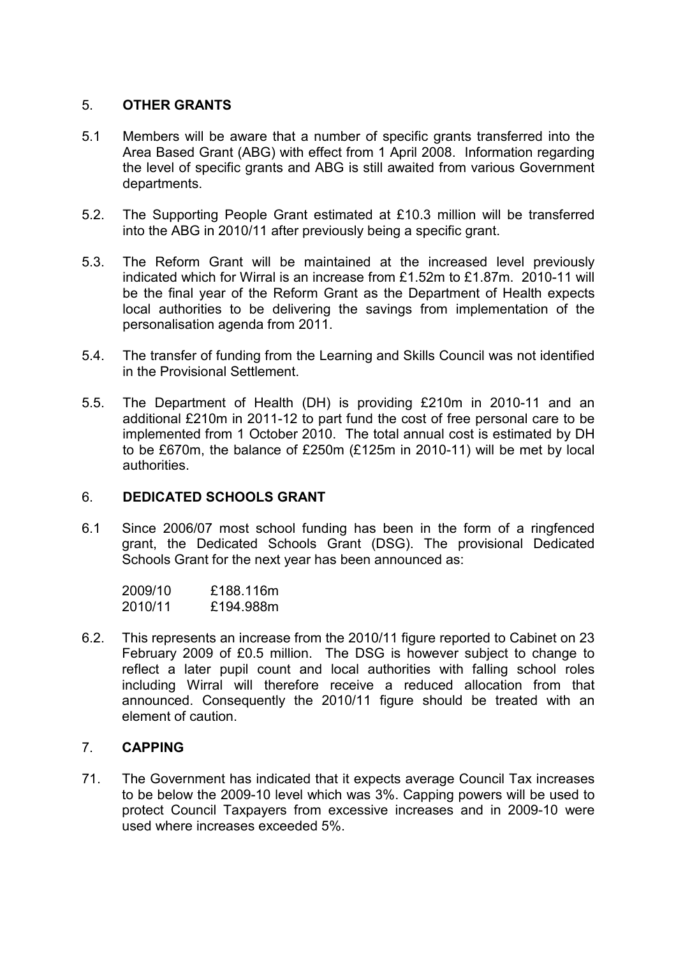## 5. OTHER GRANTS

- 5.1 Members will be aware that a number of specific grants transferred into the Area Based Grant (ABG) with effect from 1 April 2008. Information regarding the level of specific grants and ABG is still awaited from various Government departments.
- 5.2. The Supporting People Grant estimated at £10.3 million will be transferred into the ABG in 2010/11 after previously being a specific grant.
- 5.3. The Reform Grant will be maintained at the increased level previously indicated which for Wirral is an increase from £1.52m to £1.87m. 2010-11 will be the final year of the Reform Grant as the Department of Health expects local authorities to be delivering the savings from implementation of the personalisation agenda from 2011.
- 5.4. The transfer of funding from the Learning and Skills Council was not identified in the Provisional Settlement.
- 5.5. The Department of Health (DH) is providing £210m in 2010-11 and an additional £210m in 2011-12 to part fund the cost of free personal care to be implemented from 1 October 2010. The total annual cost is estimated by DH to be £670m, the balance of £250m (£125m in 2010-11) will be met by local authorities.

## 6. DEDICATED SCHOOLS GRANT

6.1 Since 2006/07 most school funding has been in the form of a ringfenced grant, the Dedicated Schools Grant (DSG). The provisional Dedicated Schools Grant for the next year has been announced as:

| 2009/10 | £188.116m |
|---------|-----------|
| 2010/11 | £194.988m |

6.2. This represents an increase from the 2010/11 figure reported to Cabinet on 23 February 2009 of £0.5 million. The DSG is however subject to change to reflect a later pupil count and local authorities with falling school roles including Wirral will therefore receive a reduced allocation from that announced. Consequently the 2010/11 figure should be treated with an element of caution.

## 7. CAPPING

71. The Government has indicated that it expects average Council Tax increases to be below the 2009-10 level which was 3%. Capping powers will be used to protect Council Taxpayers from excessive increases and in 2009-10 were used where increases exceeded 5%.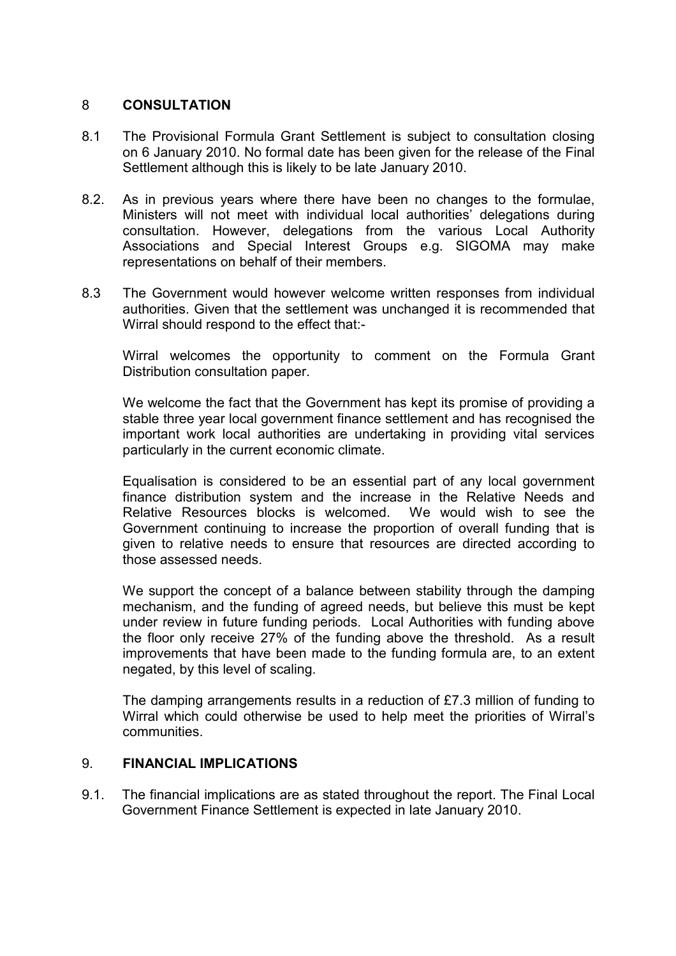### 8 CONSULTATION

- 8.1 The Provisional Formula Grant Settlement is subject to consultation closing on 6 January 2010. No formal date has been given for the release of the Final Settlement although this is likely to be late January 2010.
- 8.2. As in previous years where there have been no changes to the formulae, Ministers will not meet with individual local authorities' delegations during consultation. However, delegations from the various Local Authority Associations and Special Interest Groups e.g. SIGOMA may make representations on behalf of their members.
- 8.3 The Government would however welcome written responses from individual authorities. Given that the settlement was unchanged it is recommended that Wirral should respond to the effect that:-

 Wirral welcomes the opportunity to comment on the Formula Grant Distribution consultation paper.

 We welcome the fact that the Government has kept its promise of providing a stable three year local government finance settlement and has recognised the important work local authorities are undertaking in providing vital services particularly in the current economic climate.

 Equalisation is considered to be an essential part of any local government finance distribution system and the increase in the Relative Needs and Relative Resources blocks is welcomed. We would wish to see the Government continuing to increase the proportion of overall funding that is given to relative needs to ensure that resources are directed according to those assessed needs.

We support the concept of a balance between stability through the damping mechanism, and the funding of agreed needs, but believe this must be kept under review in future funding periods. Local Authorities with funding above the floor only receive 27% of the funding above the threshold. As a result improvements that have been made to the funding formula are, to an extent negated, by this level of scaling.

 The damping arrangements results in a reduction of £7.3 million of funding to Wirral which could otherwise be used to help meet the priorities of Wirral's communities.

#### 9. FINANCIAL IMPLICATIONS

9.1. The financial implications are as stated throughout the report. The Final Local Government Finance Settlement is expected in late January 2010.